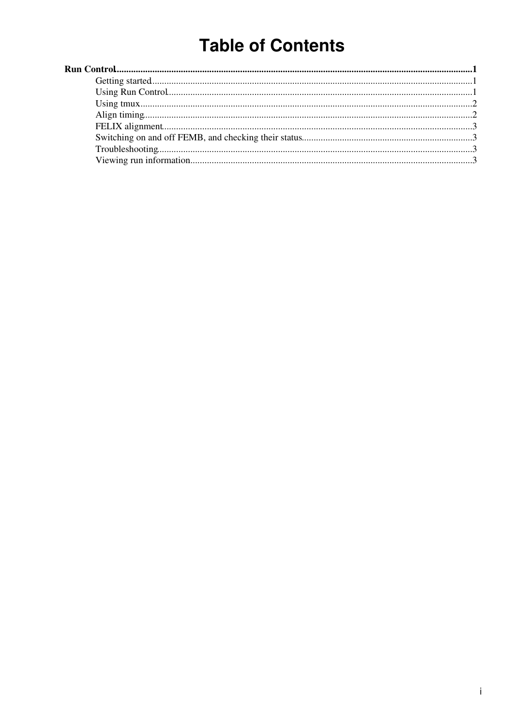# **Table of Contents**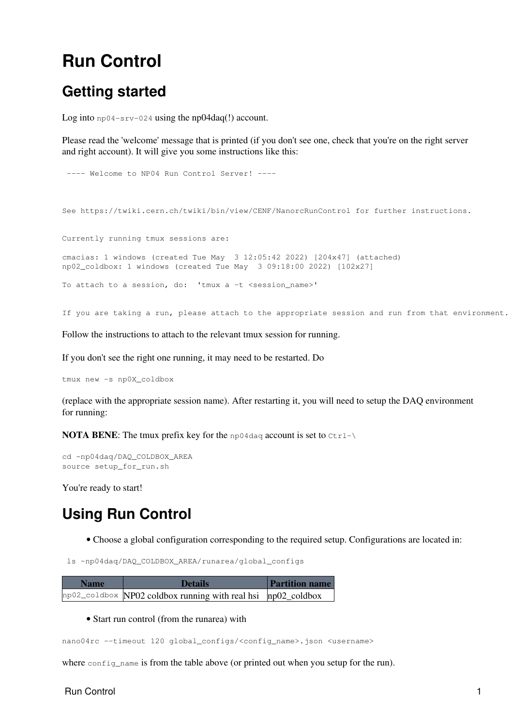## <span id="page-1-0"></span>**Run Control**

### <span id="page-1-1"></span>**Getting started**

Log into  $np04-srv-024$  using the  $np04daq(!)$  account.

Please read the 'welcome' message that is printed (if you don't see one, check that you're on the right server and right account). It will give you some instructions like this:

```
---- Welcome to NP04 Run Control Server! ----
See https://twiki.cern.ch/twiki/bin/view/CENF/NanorcRunControl for further instructions.
Currently running tmux sessions are:
cmacias: 1 windows (created Tue May 3 12:05:42 2022) [204x47] (attached)
np02_coldbox: 1 windows (created Tue May 3 09:18:00 2022) [102x27]
To attach to a session, do: 'tmux a -t <session_name>'
```
If you are taking a run, please attach to the appropriate session and run from that environment.

Follow the instructions to attach to the relevant tmux session for running.

If you don't see the right one running, it may need to be restarted. Do

tmux new -s np0X\_coldbox

(replace with the appropriate session name). After restarting it, you will need to setup the DAQ environment for running:

**NOTA BENE:** The tmux prefix key for the  $np04daq$  account is set to  $Ctr1-\lambda$ 

```
cd ~np04daq/DAQ_COLDBOX_AREA
source setup_for_run.sh
```
You're ready to start!

## <span id="page-1-2"></span>**Using Run Control**

• Choose a global configuration corresponding to the required setup. Configurations are located in:

ls ~np04daq/DAQ\_COLDBOX\_AREA/runarea/global\_configs

| <b>Name</b> | <b>Details</b>                                                                         | <b>Partition name</b> |
|-------------|----------------------------------------------------------------------------------------|-----------------------|
|             | $np02$ <sub>coldbox</sub> NP02 coldbox running with real hsi $np02$ <sub>coldbox</sub> |                       |

• Start run control (from the runarea) with

nano04rc --timeout 120 global\_configs/<config\_name>.json <username>

where config\_name is from the table above (or printed out when you setup for the run).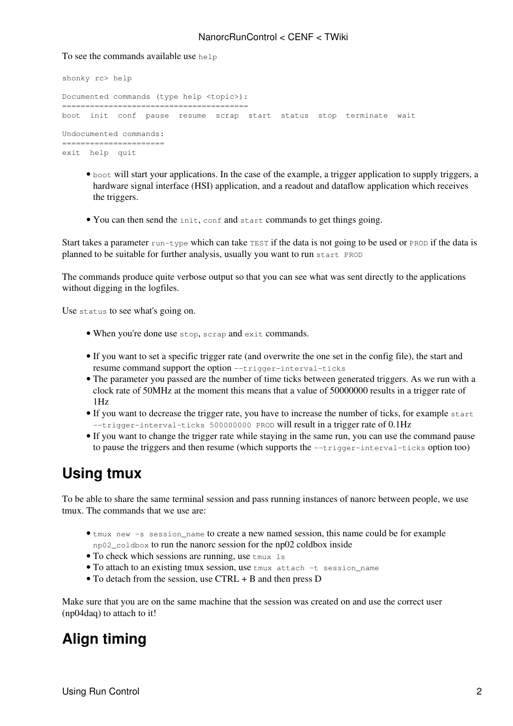#### NanorcRunControl < CENF < TWiki

#### To see the commands available use help

```
shonky rc> help
Documented commands (type help <topic>):
========================================
boot init conf pause resume scrap start status stop terminate wait
Undocumented commands:
======================
exit help quit
```
- boot will start your applications. In the case of the example, a trigger application to supply triggers, a hardware signal interface (HSI) application, and a readout and dataflow application which receives the triggers.
- You can then send the init, conf and start commands to get things going.

Start takes a parameter  $run-type$  which can take TEST if the data is not going to be used or PROD if the data is planned to be suitable for further analysis, usually you want to run start PROD

The commands produce quite verbose output so that you can see what was sent directly to the applications without digging in the logfiles.

Use status to see what's going on.

- When you're done use stop, scrap and exit commands.
- If you want to set a specific trigger rate (and overwrite the one set in the config file), the start and resume command support the option --trigger-interval-ticks
- The parameter you passed are the number of time ticks between generated triggers. As we run with a clock rate of 50MHz at the moment this means that a value of 50000000 results in a trigger rate of 1Hz
- If you want to decrease the trigger rate, you have to increase the number of ticks, for example start --trigger-interval-ticks 500000000 PROD will result in a trigger rate of  $0.1\text{Hz}$
- If you want to change the trigger rate while staying in the same run, you can use the command pause to pause the triggers and then resume (which supports the --trigger-interval-ticks option too)

#### <span id="page-2-0"></span>**Using tmux**

To be able to share the same terminal session and pass running instances of nanorc between people, we use tmux. The commands that we use are:

- tmux new -s session\_name to create a new named session, this name could be for example np02\_coldbox to run the nanorc session for the np02 coldbox inside
- To check which sessions are running, use  $t_{\text{max}}$  is
- To attach to an existing tmux session, use tmux attach -t session\_name
- To detach from the session, use CTRL + B and then press D

Make sure that you are on the same machine that the session was created on and use the correct user (np04daq) to attach to it!

#### <span id="page-2-1"></span>**Align timing**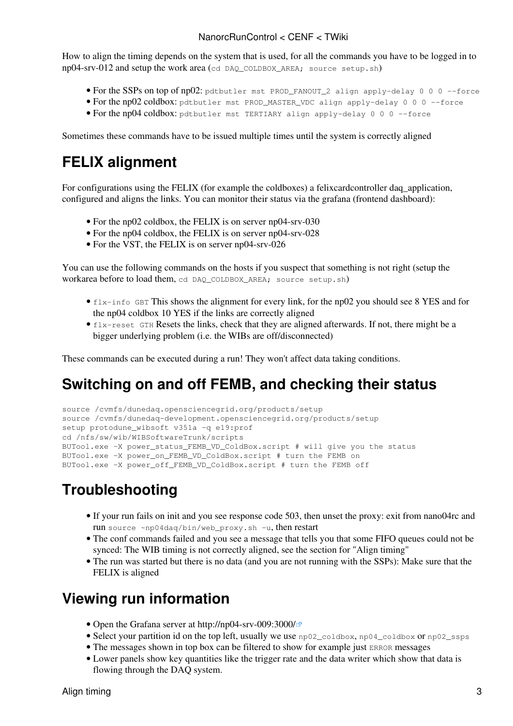#### NanorcRunControl < CENF < TWiki

How to align the timing depends on the system that is used, for all the commands you have to be logged in to np04-srv-012 and setup the work area (cd DAQ\_COLDBOX\_AREA; source setup.sh)

- For the SSPs on top of np02: pdtbutler mst PROD FANOUT 2 align apply-delay 0 0 0 --force
- For the np02 coldbox: pdtbutler mst PROD MASTER VDC align apply-delay 0 0 0 --force
- For the np04 coldbox: pdtbutler mst TERTIARY align apply-delay 0 0 0 --force

Sometimes these commands have to be issued multiple times until the system is correctly aligned

### <span id="page-3-0"></span>**FELIX alignment**

For configurations using the FELIX (for example the coldboxes) a felixcardcontroller daq application, configured and aligns the links. You can monitor their status via the grafana (frontend dashboard):

- For the np02 coldbox, the FELIX is on server np04-srv-030
- For the np04 coldbox, the FELIX is on server np04-srv-028
- For the VST, the FELIX is on server np04-srv-026

You can use the following commands on the hosts if you suspect that something is not right (setup the workarea before to load them, cd DAQ\_COLDBOX\_AREA; source setup.sh)

- flx-info GBT This shows the alignment for every link, for the np02 you should see 8 YES and for the np04 coldbox 10 YES if the links are correctly aligned
- flx-reset GTH Resets the links, check that they are aligned afterwards. If not, there might be a bigger underlying problem (i.e. the WIBs are off/disconnected)

These commands can be executed during a run! They won't affect data taking conditions.

#### <span id="page-3-1"></span>**Switching on and off FEMB, and checking their status**

```
source /cvmfs/dunedaq.opensciencegrid.org/products/setup
source /cvmfs/dunedaq-development.opensciencegrid.org/products/setup
setup protodune_wibsoft v351a -q e19:prof
cd /nfs/sw/wib/WIBSoftwareTrunk/scripts
BUTool.exe -X power_status_FEMB_VD_ColdBox.script # will give you the status
BUTool.exe -X power_on_FEMB_VD_ColdBox.script # turn the FEMB on
BUTool.exe -X power_off_FEMB_VD_ColdBox.script # turn the FEMB off
```
## <span id="page-3-2"></span>**Troubleshooting**

- If your run fails on init and you see response code 503, then unset the proxy: exit from nano04rc and run source ~np04daq/bin/web\_proxy.sh -u, then restart
- The conf commands failed and you see a message that tells you that some FIFO queues could not be synced: The WIB timing is not correctly aligned, see the section for "Align timing"
- The run was started but there is no data (and you are not running with the SSPs): Make sure that the FELIX is aligned

#### <span id="page-3-3"></span>**Viewing run information**

- Open the Grafana server at<http://np04-srv-009:3000/> $\sigma$
- Select your partition id on the top left, usually we use np02\_coldbox, np04\_coldbox or np02\_ssps
- The messages shown in top box can be filtered to show for example just ERROR messages
- Lower panels show key quantities like the trigger rate and the data writer which show that data is flowing through the DAQ system.